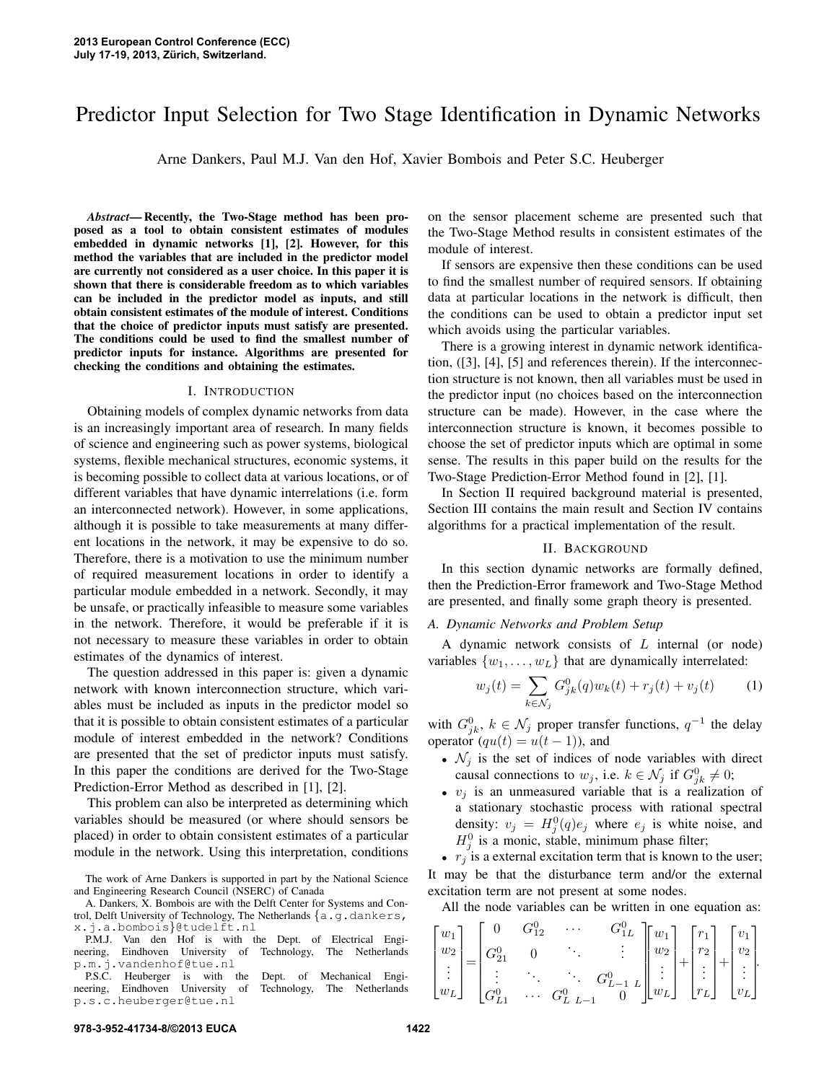# Predictor Input Selection for Two Stage Identification in Dynamic Networks

Arne Dankers, Paul M.J. Van den Hof, Xavier Bombois and Peter S.C. Heuberger

*Abstract*— Recently, the Two-Stage method has been proposed as a tool to obtain consistent estimates of modules embedded in dynamic networks [1], [2]. However, for this method the variables that are included in the predictor model are currently not considered as a user choice. In this paper it is shown that there is considerable freedom as to which variables can be included in the predictor model as inputs, and still obtain consistent estimates of the module of interest. Conditions that the choice of predictor inputs must satisfy are presented. The conditions could be used to find the smallest number of predictor inputs for instance. Algorithms are presented for checking the conditions and obtaining the estimates.

#### I. INTRODUCTION

Obtaining models of complex dynamic networks from data is an increasingly important area of research. In many fields of science and engineering such as power systems, biological systems, flexible mechanical structures, economic systems, it is becoming possible to collect data at various locations, or of different variables that have dynamic interrelations (i.e. form an interconnected network). However, in some applications, although it is possible to take measurements at many different locations in the network, it may be expensive to do so. Therefore, there is a motivation to use the minimum number of required measurement locations in order to identify a particular module embedded in a network. Secondly, it may be unsafe, or practically infeasible to measure some variables in the network. Therefore, it would be preferable if it is not necessary to measure these variables in order to obtain estimates of the dynamics of interest.

The question addressed in this paper is: given a dynamic network with known interconnection structure, which variables must be included as inputs in the predictor model so that it is possible to obtain consistent estimates of a particular module of interest embedded in the network? Conditions are presented that the set of predictor inputs must satisfy. In this paper the conditions are derived for the Two-Stage Prediction-Error Method as described in [1], [2].

This problem can also be interpreted as determining which variables should be measured (or where should sensors be placed) in order to obtain consistent estimates of a particular module in the network. Using this interpretation, conditions

The work of Arne Dankers is supported in part by the National Science and Engineering Research Council (NSERC) of Canada

P.S.C. Heuberger is with the Dept. of Mechanical Engineering, Eindhoven University of Technology, The Netherlands p.s.c.heuberger@tue.nl

on the sensor placement scheme are presented such that the Two-Stage Method results in consistent estimates of the module of interest.

If sensors are expensive then these conditions can be used to find the smallest number of required sensors. If obtaining data at particular locations in the network is difficult, then the conditions can be used to obtain a predictor input set which avoids using the particular variables.

There is a growing interest in dynamic network identification, ([3], [4], [5] and references therein). If the interconnection structure is not known, then all variables must be used in the predictor input (no choices based on the interconnection structure can be made). However, in the case where the interconnection structure is known, it becomes possible to choose the set of predictor inputs which are optimal in some sense. The results in this paper build on the results for the Two-Stage Prediction-Error Method found in [2], [1].

In Section II required background material is presented, Section III contains the main result and Section IV contains algorithms for a practical implementation of the result.

# II. BACKGROUND

In this section dynamic networks are formally defined, then the Prediction-Error framework and Two-Stage Method are presented, and finally some graph theory is presented.

#### *A. Dynamic Networks and Problem Setup*

A dynamic network consists of  $L$  internal (or node) variables  $\{w_1, \ldots, w_L\}$  that are dynamically interrelated:

$$
w_j(t) = \sum_{k \in \mathcal{N}_j} G_{jk}^0(q) w_k(t) + r_j(t) + v_j(t)
$$
 (1)

with  $G_{jk}^0$ ,  $k \in \mathcal{N}_j$  proper transfer functions,  $q^{-1}$  the delay operator  $\left( qu(t) = u(t-1) \right)$ , and

- $\mathcal{N}_j$  is the set of indices of node variables with direct causal connections to  $w_j$ , i.e.  $k \in \mathcal{N}_j$  if  $G_{jk}^0 \neq 0$ ;
- $v_j$  is an unmeasured variable that is a realization of a stationary stochastic process with rational spectral density:  $v_j = H_j^0(q)e_j$  where  $e_j$  is white noise, and  $H_j^0$  is a monic, stable, minimum phase filter;

•  $r_j$  is a external excitation term that is known to the user; It may be that the disturbance term and/or the external excitation term are not present at some nodes.

All the node variables can be written in one equation as:

$$
\begin{bmatrix} w_1 \\ w_2 \\ \vdots \\ w_L \end{bmatrix} = \begin{bmatrix} 0 & G_{12}^0 & \cdots & G_{1L}^0 \\ G_{21}^0 & 0 & \ddots & \vdots \\ \vdots & \ddots & \ddots & G_{L-1}^0 \\ G_{L1}^0 & \cdots & G_{L}^0 & L^{-1} \end{bmatrix} \begin{bmatrix} w_1 \\ w_2 \\ \vdots \\ w_L \end{bmatrix} + \begin{bmatrix} r_1 \\ r_2 \\ \vdots \\ r_L \end{bmatrix} + \begin{bmatrix} v_1 \\ v_2 \\ \vdots \\ v_L \end{bmatrix}.
$$

A. Dankers, X. Bombois are with the Delft Center for Systems and Control, Delft University of Technology, The Netherlands {a.g.dankers, x.j.a.bombois}@tudelft.nl

P.M.J. Van den Hof is with the Dept. of Electrical Engi-<br>eering, Eindhoven University of Technology, The Netherlands neering, Eindhoven University of p.m.j.vandenhof@tue.nl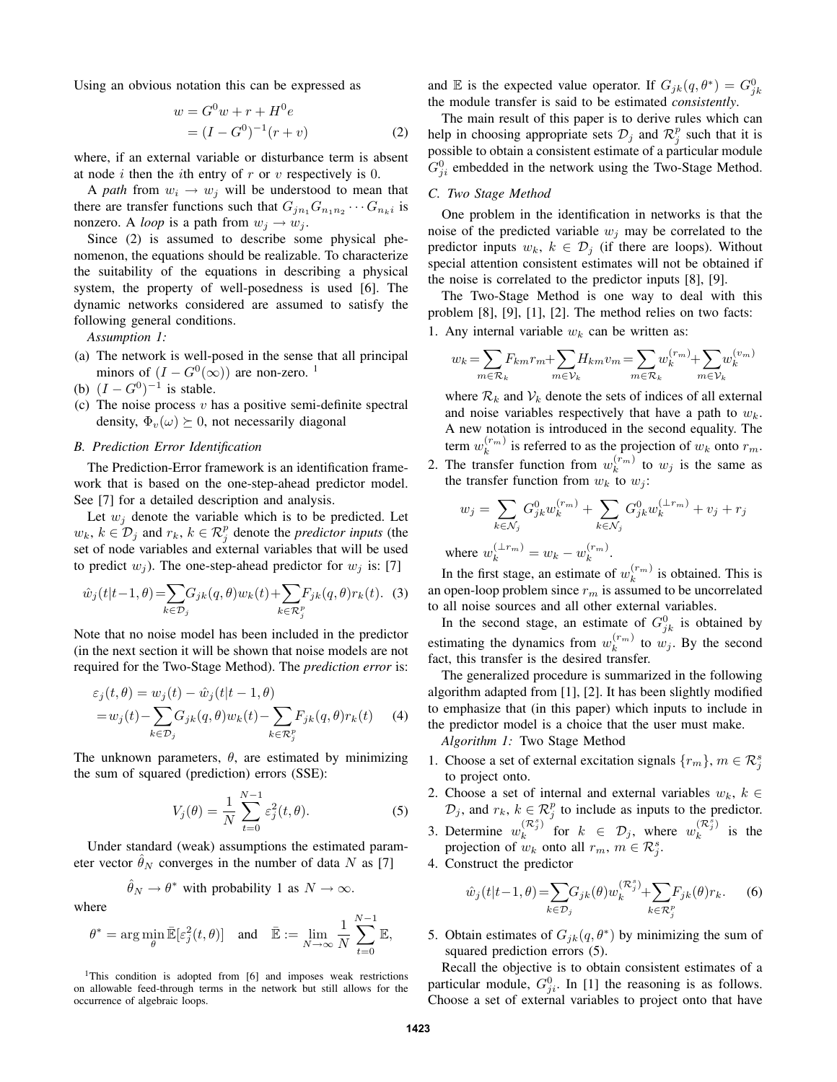Using an obvious notation this can be expressed as

$$
w = G^{0}w + r + H^{0}e
$$
  
=  $(I - G^{0})^{-1}(r + v)$  (2)

where, if an external variable or disturbance term is absent at node i then the ith entry of r or v respectively is 0.

A *path* from  $w_i \rightarrow w_j$  will be understood to mean that there are transfer functions such that  $G_{j n_1} G_{n_1 n_2} \cdots G_{n_k i}$  is nonzero. A *loop* is a path from  $w_j \to w_j$ .

Since (2) is assumed to describe some physical phenomenon, the equations should be realizable. To characterize the suitability of the equations in describing a physical system, the property of well-posedness is used [6]. The dynamic networks considered are assumed to satisfy the following general conditions.

*Assumption 1:*

- (a) The network is well-posed in the sense that all principal minors of  $(I - G^0(\infty))$  are non-zero. <sup>1</sup>
- (b)  $(I G^0)^{-1}$  is stable.
- (c) The noise process  $v$  has a positive semi-definite spectral density,  $\Phi_v(\omega) \succeq 0$ , not necessarily diagonal

#### *B. Prediction Error Identification*

The Prediction-Error framework is an identification framework that is based on the one-step-ahead predictor model. See [7] for a detailed description and analysis.

Let  $w_i$  denote the variable which is to be predicted. Let  $w_k, k \in \mathcal{D}_j$  and  $r_k, k \in \mathcal{R}_j^p$  denote the *predictor inputs* (the set of node variables and external variables that will be used to predict  $w_i$ ). The one-step-ahead predictor for  $w_i$  is: [7]

$$
\hat{w}_j(t|t-1,\theta) = \sum_{k \in \mathcal{D}_j} G_{jk}(q,\theta) w_k(t) + \sum_{k \in \mathcal{R}_j^p} F_{jk}(q,\theta) r_k(t). \tag{3}
$$

Note that no noise model has been included in the predictor (in the next section it will be shown that noise models are not required for the Two-Stage Method). The *prediction error* is:

$$
\varepsilon_j(t,\theta) = w_j(t) - \hat{w}_j(t|t-1,\theta)
$$
  
=  $w_j(t) - \sum_{k \in \mathcal{D}_j} G_{jk}(q,\theta) w_k(t) - \sum_{k \in \mathcal{R}_j^p} F_{jk}(q,\theta) r_k(t)$  (4)

The unknown parameters,  $\theta$ , are estimated by minimizing the sum of squared (prediction) errors (SSE):

$$
V_j(\theta) = \frac{1}{N} \sum_{t=0}^{N-1} \varepsilon_j^2(t, \theta).
$$
 (5)

Under standard (weak) assumptions the estimated parameter vector  $\hat{\theta}_N$  converges in the number of data N as [7]

$$
\hat{\theta}_N \to \theta^*
$$
 with probability 1 as  $N \to \infty$ .

where

$$
\theta^*=\arg\min_{\theta}\bar{\mathbb{E}}[\varepsilon_j^2(t,\theta)]\quad\text{and}\quad\bar{\mathbb{E}}:=\lim_{N\to\infty}\frac{1}{N}\sum_{t=0}^{N-1}\mathbb{E},
$$

<sup>1</sup>This condition is adopted from [6] and imposes weak restrictions on allowable feed-through terms in the network but still allows for the occurrence of algebraic loops.

and E is the expected value operator. If  $G_{jk}(q, \theta^*) = G_{jk}^0$ the module transfer is said to be estimated *consistently*.

The main result of this paper is to derive rules which can help in choosing appropriate sets  $\mathcal{D}_j$  and  $\mathcal{R}_j^p$  such that it is possible to obtain a consistent estimate of a particular module  $G_{ji}^0$  embedded in the network using the Two-Stage Method.

# *C. Two Stage Method*

One problem in the identification in networks is that the noise of the predicted variable  $w_j$  may be correlated to the predictor inputs  $w_k$ ,  $k \in \mathcal{D}_i$  (if there are loops). Without special attention consistent estimates will not be obtained if the noise is correlated to the predictor inputs [8], [9].

The Two-Stage Method is one way to deal with this problem [8], [9], [1], [2]. The method relies on two facts:

1. Any internal variable  $w_k$  can be written as:

$$
w_k = \sum_{m \in \mathcal{R}_k} F_{km} r_m + \sum_{m \in \mathcal{V}_k} H_{km} v_m = \sum_{m \in \mathcal{R}_k} w_k^{(r_m)} + \sum_{m \in \mathcal{V}_k} w_k^{(v_m)}
$$

where  $\mathcal{R}_k$  and  $\mathcal{V}_k$  denote the sets of indices of all external and noise variables respectively that have a path to  $w_k$ . A new notation is introduced in the second equality. The term  $w_k^{(r_m)}$  is referred to as the projection of  $w_k$  onto  $r_m$ .

2. The transfer function from  $w_k^{(r_m)}$  to  $w_j$  is the same as the transfer function from  $w_k$  to  $w_j$ :

$$
w_j = \sum_{k \in \mathcal{N}_j} G_{jk}^0 w_k^{(r_m)} + \sum_{k \in \mathcal{N}_j} G_{jk}^0 w_k^{(\perp r_m)} + v_j + r_j
$$
  
where  $w_k^{(\perp r_m)} = w_k - w_k^{(r_m)}$ .

In the first stage, an estimate of  $w_k^{(r_m)}$  is obtained. This is an open-loop problem since  $r<sub>m</sub>$  is assumed to be uncorrelated to all noise sources and all other external variables.

In the second stage, an estimate of  $G_{jk}^0$  is obtained by estimating the dynamics from  $w_k^{(r_m)}$  to  $w_j$ . By the second fact, this transfer is the desired transfer.

The generalized procedure is summarized in the following algorithm adapted from [1], [2]. It has been slightly modified to emphasize that (in this paper) which inputs to include in the predictor model is a choice that the user must make.

*Algorithm 1:* Two Stage Method

- 1. Choose a set of external excitation signals  $\{r_m\}$ ,  $m \in \mathcal{R}^s_j$ to project onto.
- 2. Choose a set of internal and external variables  $w_k$ ,  $k \in$  $\mathcal{D}_j$ , and  $r_k$ ,  $k \in \mathcal{R}_j^p$  to include as inputs to the predictor.
- 3. Determine  $w_k^{(\mathcal{R}_j^s)}$  $\left(\begin{matrix} (\mathcal{R}_j^s) \\ k \end{matrix}\right)^j$  for  $k \in \mathcal{D}_j$ , where  $w_k^{(\mathcal{R}_j^s)}$  $\int_{k}^{(\infty)}$  is the projection of  $w_k$  onto all  $r_m$ ,  $m \in \mathcal{R}_j^s$ .
- 4. Construct the predictor

$$
\hat{w}_j(t|t-1,\theta) = \sum_{k \in \mathcal{D}_j} G_{jk}(\theta) w_k^{(\mathcal{R}_j^s)} + \sum_{k \in \mathcal{R}_j^p} F_{jk}(\theta) r_k.
$$
 (6)

5. Obtain estimates of  $G_{jk}(q, \theta^*)$  by minimizing the sum of squared prediction errors (5).

Recall the objective is to obtain consistent estimates of a particular module,  $G_{ji}^0$ . In [1] the reasoning is as follows. Choose a set of external variables to project onto that have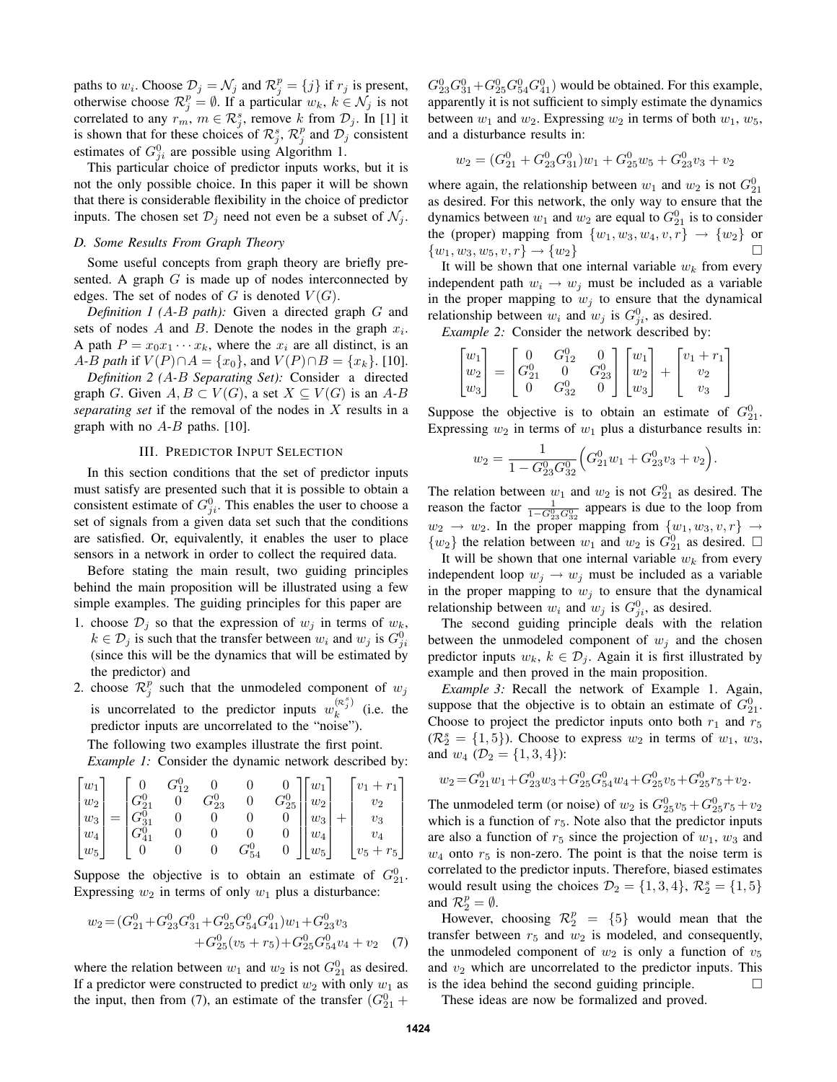paths to  $w_i$ . Choose  $\mathcal{D}_j = \mathcal{N}_j$  and  $\mathcal{R}_j^p = \{j\}$  if  $r_j$  is present, otherwise choose  $\mathcal{R}_j^p = \emptyset$ . If a particular  $w_k$ ,  $k \in \mathcal{N}_j$  is not correlated to any  $r_m$ ,  $m \in \mathcal{R}_j^s$ , remove k from  $\mathcal{D}_j$ . In [1] it is shown that for these choices of  $\mathcal{R}_j^s$ ,  $\mathcal{R}_j^p$  and  $\mathcal{D}_j$  consistent estimates of  $G_{ji}^0$  are possible using Algorithm 1.

This particular choice of predictor inputs works, but it is not the only possible choice. In this paper it will be shown that there is considerable flexibility in the choice of predictor inputs. The chosen set  $\mathcal{D}_j$  need not even be a subset of  $\mathcal{N}_j$ .

### *D. Some Results From Graph Theory*

Some useful concepts from graph theory are briefly presented. A graph  $G$  is made up of nodes interconnected by edges. The set of nodes of G is denoted  $V(G)$ .

*Definition 1 (*A*-*B *path):* Given a directed graph G and sets of nodes A and B. Denote the nodes in the graph  $x_i$ . A path  $P = x_0 x_1 \cdots x_k$ , where the  $x_i$  are all distinct, is an *A*-*B path* if  $V(P) \cap A = \{x_0\}$ , and  $V(P) \cap B = \{x_k\}$ . [10].

*Definition 2 (*A*-*B *Separating Set):* Consider a directed graph G. Given  $A, B \subset V(G)$ , a set  $X \subseteq V(G)$  is an A-B *separating set* if the removal of the nodes in X results in a graph with no  $A-B$  paths. [10].

#### III. PREDICTOR INPUT SELECTION

In this section conditions that the set of predictor inputs must satisfy are presented such that it is possible to obtain a consistent estimate of  $G_{ji}^0$ . This enables the user to choose a set of signals from a given data set such that the conditions are satisfied. Or, equivalently, it enables the user to place sensors in a network in order to collect the required data.

Before stating the main result, two guiding principles behind the main proposition will be illustrated using a few simple examples. The guiding principles for this paper are

- 1. choose  $\mathcal{D}_j$  so that the expression of  $w_j$  in terms of  $w_k$ ,  $k \in \mathcal{D}_j$  is such that the transfer between  $w_i$  and  $w_j$  is  $G_{ji}^0$ (since this will be the dynamics that will be estimated by the predictor) and
- 2. choose  $\mathcal{R}_j^p$  such that the unmodeled component of  $w_j$ is uncorrelated to the predictor inputs  $w_k^{(\kappa_j^s)}$  $\int_{k}^{(\infty)}$  (i.e. the predictor inputs are uncorrelated to the "noise").

The following two examples illustrate the first point.

*Example 1:* Consider the dynamic network described by:

$$
\begin{bmatrix} w_1 \\ w_2 \\ w_3 \\ w_4 \\ w_5 \end{bmatrix} = \begin{bmatrix} 0 & G_{12}^0 & 0 & 0 & 0 \\ G_{21}^0 & 0 & G_{23}^0 & 0 & G_{25}^0 \\ G_{31}^0 & 0 & 0 & 0 & 0 \\ G_{41}^0 & 0 & 0 & 0 & 0 \\ 0 & 0 & 0 & G_{54}^0 & 0 \end{bmatrix} \begin{bmatrix} w_1 \\ w_2 \\ w_3 \\ w_4 \\ w_5 \end{bmatrix} + \begin{bmatrix} v_1 + r_1 \\ v_2 \\ v_3 \\ v_4 \\ v_5 \end{bmatrix}
$$

Suppose the objective is to obtain an estimate of  $G_{21}^0$ . Expressing  $w_2$  in terms of only  $w_1$  plus a disturbance:

$$
w_2 = (G_{21}^0 + G_{23}^0 G_{31}^0 + G_{25}^0 G_{54}^0 G_{41}^0) w_1 + G_{23}^0 v_3 + G_{25}^0 (v_5 + r_5) + G_{25}^0 G_{54}^0 v_4 + v_2
$$
 (7)

where the relation between  $w_1$  and  $w_2$  is not  $G_{21}^0$  as desired. If a predictor were constructed to predict  $w_2$  with only  $w_1$  as the input, then from (7), an estimate of the transfer  $(G_{21}^0 +$ 

 $G_{23}^0 G_{31}^0 + G_{25}^0 G_{54}^0 G_{41}^0$  would be obtained. For this example, apparently it is not sufficient to simply estimate the dynamics between  $w_1$  and  $w_2$ . Expressing  $w_2$  in terms of both  $w_1, w_5$ , and a disturbance results in:

$$
w_2 = (G_{21}^0 + G_{23}^0 G_{31}^0)w_1 + G_{25}^0 w_5 + G_{23}^0 v_3 + v_2
$$

where again, the relationship between  $w_1$  and  $w_2$  is not  $G_{21}^0$ as desired. For this network, the only way to ensure that the dynamics between  $w_1$  and  $w_2$  are equal to  $G_{21}^0$  is to consider the (proper) mapping from  $\{w_1, w_3, w_4, v, r\} \rightarrow \{w_2\}$  or  $\{w_1, w_3, w_5, v, r\} \rightarrow \{w_2\}$ 

It will be shown that one internal variable  $w_k$  from every independent path  $w_i \rightarrow w_j$  must be included as a variable in the proper mapping to  $w_i$  to ensure that the dynamical relationship between  $w_i$  and  $w_j$  is  $G_{ji}^0$ , as desired.

*Example 2:* Consider the network described by:

$$
\begin{bmatrix} w_1 \\ w_2 \\ w_3 \end{bmatrix} = \begin{bmatrix} 0 & G_{12}^0 & 0 \\ G_{21}^0 & 0 & G_{23}^0 \\ 0 & G_{32}^0 & 0 \end{bmatrix} \begin{bmatrix} w_1 \\ w_2 \\ w_3 \end{bmatrix} + \begin{bmatrix} v_1 + r_1 \\ v_2 \\ v_3 \end{bmatrix}
$$

Suppose the objective is to obtain an estimate of  $G_{21}^0$ . Expressing  $w_2$  in terms of  $w_1$  plus a disturbance results in:

$$
w_2 = \frac{1}{1 - G_{23}^0 G_{32}^0} \Big( G_{21}^0 w_1 + G_{23}^0 v_3 + v_2 \Big).
$$

The relation between  $w_1$  and  $w_2$  is not  $G_{21}^0$  as desired. The reason the factor  $\frac{1}{1-G_{23}^0 G_{32}^0}$  appears is due to the loop from  $w_2 \rightarrow w_2$ . In the proper mapping from  $\{w_1, w_3, v, r\} \rightarrow$  $\{w_2\}$  the relation between  $w_1$  and  $w_2$  is  $G_{21}^0$  as desired.  $\square$ 

It will be shown that one internal variable  $w_k$  from every independent loop  $w_i \rightarrow w_i$  must be included as a variable in the proper mapping to  $w_j$  to ensure that the dynamical relationship between  $w_i$  and  $w_j$  is  $G_{ji}^0$ , as desired.

The second guiding principle deals with the relation between the unmodeled component of  $w_i$  and the chosen predictor inputs  $w_k$ ,  $k \in \mathcal{D}_j$ . Again it is first illustrated by example and then proved in the main proposition.

*Example 3:* Recall the network of Example 1. Again, suppose that the objective is to obtain an estimate of  $G_{21}^0$ . Choose to project the predictor inputs onto both  $r_1$  and  $r_5$  $(\mathcal{R}_2^s = \{1, 5\})$ . Choose to express  $w_2$  in terms of  $w_1$ ,  $w_3$ , and  $w_4$  ( $\mathcal{D}_2 = \{1, 3, 4\}$ ):

$$
w_2 = G_{21}^0 w_1 + G_{23}^0 w_3 + G_{25}^0 G_{54}^0 w_4 + G_{25}^0 v_5 + G_{25}^0 r_5 + v_2.
$$

The unmodeled term (or noise) of  $w_2$  is  $G_{25}^0 v_5 + G_{25}^0 r_5 + v_2$ which is a function of  $r<sub>5</sub>$ . Note also that the predictor inputs are also a function of  $r_5$  since the projection of  $w_1$ ,  $w_3$  and  $w_4$  onto  $r_5$  is non-zero. The point is that the noise term is correlated to the predictor inputs. Therefore, biased estimates would result using the choices  $\mathcal{D}_2 = \{1,3,4\}$ ,  $\mathcal{R}_2^s = \{1,5\}$ and  $\mathcal{R}_2^p = \emptyset$ .

However, choosing  $\mathcal{R}_2^p = \{5\}$  would mean that the transfer between  $r_5$  and  $w_2$  is modeled, and consequently, the unmodeled component of  $w_2$  is only a function of  $v_5$ and  $v_2$  which are uncorrelated to the predictor inputs. This is the idea behind the second guiding principle.  $\Box$ 

These ideas are now be formalized and proved.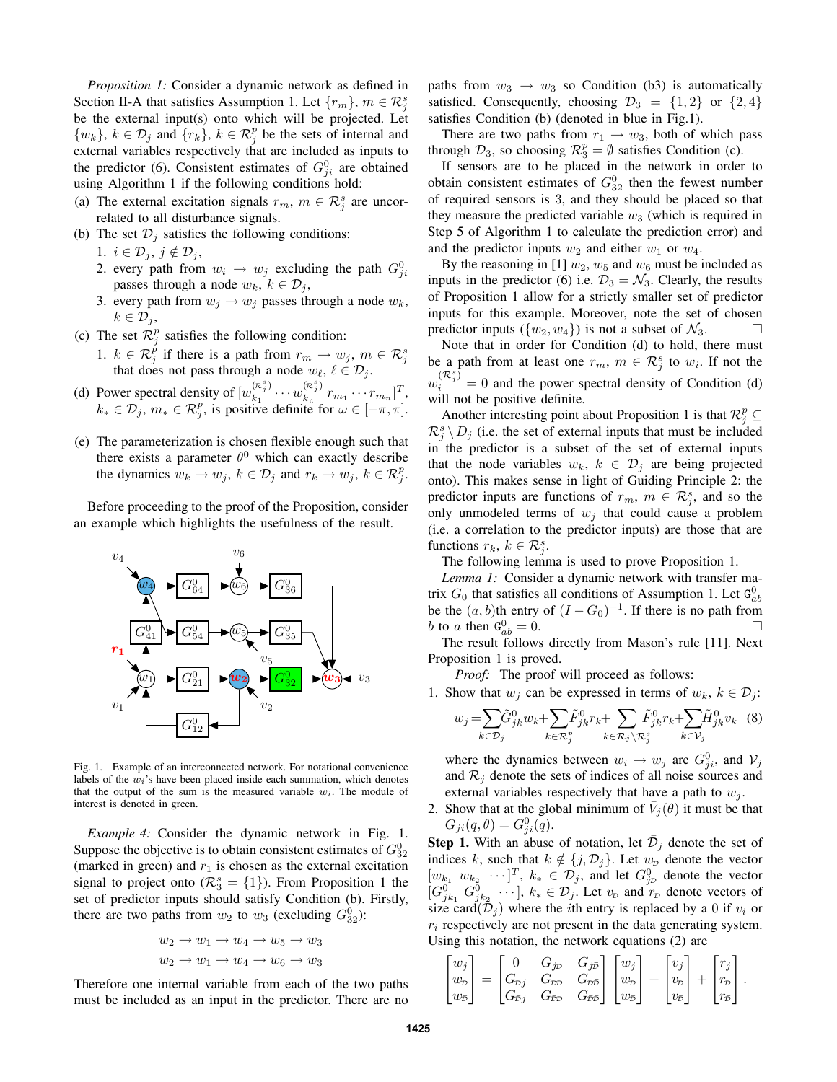*Proposition 1:* Consider a dynamic network as defined in Section II-A that satisfies Assumption 1. Let  $\{r_m\}$ ,  $m \in \mathcal{R}^s_j$ be the external input(s) onto which will be projected. Let  $\{w_k\}, k \in \mathcal{D}_j$  and  $\{r_k\}, k \in \mathcal{R}_j^p$  be the sets of internal and external variables respectively that are included as inputs to the predictor (6). Consistent estimates of  $G_{ji}^0$  are obtained using Algorithm 1 if the following conditions hold:

- (a) The external excitation signals  $r_m$ ,  $m \in \mathcal{R}_j^s$  are uncorrelated to all disturbance signals.
- (b) The set  $\mathcal{D}_j$  satisfies the following conditions:

1.  $i \in \mathcal{D}_j, j \notin \mathcal{D}_j$ ,

- 2. every path from  $w_i \rightarrow w_j$  excluding the path  $G_{ji}^0$ passes through a node  $w_k$ ,  $k \in \mathcal{D}_j$ ,
- 3. every path from  $w_i \rightarrow w_i$  passes through a node  $w_k$ ,  $k \in \mathcal{D}_i$
- (c) The set  $\mathcal{R}_j^p$  satisfies the following condition:
	- 1.  $k \in \mathcal{R}_j^{\check{p}}$  if there is a path from  $r_m \to w_j$ ,  $m \in \mathcal{R}_j^s$  that does not pass through a node  $w_\ell, \ell \in \mathcal{D}_j$ .
- (d) Power spectral density of  $[w_{k_1}^{(\mathcal{R}_j^s)}]$  $\binom{(\mathcal{R}^s_j)}{k_1} \cdots w_{k_n}^{(\mathcal{R}^s_j)}$  $\binom{\binom{K}{j}}{k_{\rm n}} r_{m_1} \cdots r_{m_n}$ <sup>T</sup>,  $k_* \in \mathcal{D}_j$ ,  $m_* \in \mathcal{R}_j^p$ , is positive definite for  $\omega \in [-\pi, \pi]$ .
- (e) The parameterization is chosen flexible enough such that there exists a parameter  $\theta^0$  which can exactly describe the dynamics  $w_k \to w_j$ ,  $k \in \mathcal{D}_j$  and  $r_k \to w_j$ ,  $k \in \mathcal{R}_j^p$ .

Before proceeding to the proof of the Proposition, consider an example which highlights the usefulness of the result.



Fig. 1. Example of an interconnected network. For notational convenience labels of the  $w_i$ 's have been placed inside each summation, which denotes that the output of the sum is the measured variable  $w_i$ . The module of interest is denoted in green.

*Example 4:* Consider the dynamic network in Fig. 1. Suppose the objective is to obtain consistent estimates of  $G_{32}^0$ (marked in green) and  $r_1$  is chosen as the external excitation signal to project onto ( $\mathcal{R}_3^s = \{1\}$ ). From Proposition 1 the set of predictor inputs should satisfy Condition (b). Firstly, there are two paths from  $w_2$  to  $w_3$  (excluding  $G_{32}^0$ ):

$$
w_2 \to w_1 \to w_4 \to w_5 \to w_3
$$
  

$$
w_2 \to w_1 \to w_4 \to w_6 \to w_3
$$

Therefore one internal variable from each of the two paths must be included as an input in the predictor. There are no paths from  $w_3 \rightarrow w_3$  so Condition (b3) is automatically satisfied. Consequently, choosing  $\mathcal{D}_3 = \{1,2\}$  or  $\{2,4\}$ satisfies Condition (b) (denoted in blue in Fig.1).

There are two paths from  $r_1 \rightarrow w_3$ , both of which pass through  $\mathcal{D}_3$ , so choosing  $\mathcal{R}_3^p = \emptyset$  satisfies Condition (c).

If sensors are to be placed in the network in order to obtain consistent estimates of  $G_{32}^0$  then the fewest number of required sensors is 3, and they should be placed so that they measure the predicted variable  $w_3$  (which is required in Step 5 of Algorithm 1 to calculate the prediction error) and and the predictor inputs  $w_2$  and either  $w_1$  or  $w_4$ .

By the reasoning in [1]  $w_2$ ,  $w_5$  and  $w_6$  must be included as inputs in the predictor (6) i.e.  $\mathcal{D}_3 = \mathcal{N}_3$ . Clearly, the results of Proposition 1 allow for a strictly smaller set of predictor inputs for this example. Moreover, note the set of chosen predictor inputs  $({w_2, w_4})$  is not a subset of  $\mathcal{N}_3$ .

Note that in order for Condition (d) to hold, there must be a path from at least one  $r_m$ ,  $m \in \mathcal{R}_j^s$  to  $w_i$ . If not the  $w_i^{(\mathcal{R}_j^s)} = 0$  and the power spectral density of Condition (d) will not be positive definite.

Another interesting point about Proposition 1 is that  $\mathcal{R}_j^p \subseteq$  $\mathcal{R}_j^s \setminus D_j$  (i.e. the set of external inputs that must be included in the predictor is a subset of the set of external inputs that the node variables  $w_k$ ,  $k \in \mathcal{D}_i$  are being projected onto). This makes sense in light of Guiding Principle 2: the predictor inputs are functions of  $r_m$ ,  $m \in \mathcal{R}_j^s$ , and so the only unmodeled terms of  $w_i$  that could cause a problem (i.e. a correlation to the predictor inputs) are those that are functions  $r_k, k \in \mathcal{R}_j^s$ .

The following lemma is used to prove Proposition 1.

*Lemma 1:* Consider a dynamic network with transfer matrix  $G_0$  that satisfies all conditions of Assumption 1. Let  $\mathsf{G}_{ab}^0$ be the  $(a, b)$ th entry of  $(I - G_0)^{-1}$ . If there is no path from b to a then  $G_{ab}^0 = 0$ .

The result follows directly from Mason's rule [11]. Next Proposition 1 is proved.

*Proof:* The proof will proceed as follows:

1. Show that  $w_i$  can be expressed in terms of  $w_k$ ,  $k \in \mathcal{D}_i$ :

$$
w_j = \sum_{k \in \mathcal{D}_j} \tilde{G}_{jk}^0 w_k + \sum_{k \in \mathcal{R}_j^p} \tilde{F}_{jk}^0 r_k + \sum_{k \in \mathcal{R}_j \setminus \mathcal{R}_j^s} \tilde{F}_{jk}^0 r_k + \sum_{k \in \mathcal{V}_j} \tilde{H}_{jk}^0 v_k
$$
 (8)

where the dynamics between  $w_i \to w_j$  are  $G_{ji}^0$ , and  $V_j$ and  $\mathcal{R}_j$  denote the sets of indices of all noise sources and external variables respectively that have a path to  $w_i$ .

2. Show that at the global minimum of  $\bar{V}_j(\theta)$  it must be that  $G_{ji}(q, \theta) = G_{ji}^{0}(q).$ 

**Step 1.** With an abuse of notation, let  $\bar{\mathcal{D}}_j$  denote the set of indices k, such that  $k \notin \{j, \mathcal{D}_j\}$ . Let  $w_D$  denote the vector  $[w_{k_1} \ w_{k_2} \ \cdots]^T$ ,  $k_* \in \mathcal{D}_j$ , and let  $G_{j\mathcal{D}}^0$  denote the vector  $[G_{jk_1}^0 \ G_{jk_2}^0 \ \cdots], k_* \in \mathcal{D}_j$ . Let  $v_{\mathcal{D}}$  and  $r_{\mathcal{D}}$  denote vectors of size card $(\mathcal{D}_j)$  where the *i*th entry is replaced by a 0 if  $v_i$  or  $r_i$  respectively are not present in the data generating system. Using this notation, the network equations (2) are

$$
\begin{bmatrix} w_j \\ w_D \\ w_{\overline{D}} \end{bmatrix} = \begin{bmatrix} 0 & G_{j\overline{D}} & G_{j\overline{D}} \\ G_{\overline{D}j} & G_{\overline{D}\overline{D}} & G_{\overline{D}\overline{D}} \\ G_{\overline{D}j} & G_{\overline{D}\overline{D}} & G_{\overline{D}\overline{D}} \end{bmatrix} \begin{bmatrix} w_j \\ w_{\overline{D}} \\ w_{\overline{D}} \end{bmatrix} + \begin{bmatrix} v_j \\ v_{\overline{D}} \\ v_{\overline{D}} \end{bmatrix} + \begin{bmatrix} r_j \\ r_{\overline{D}} \\ r_{\overline{D}} \end{bmatrix}.
$$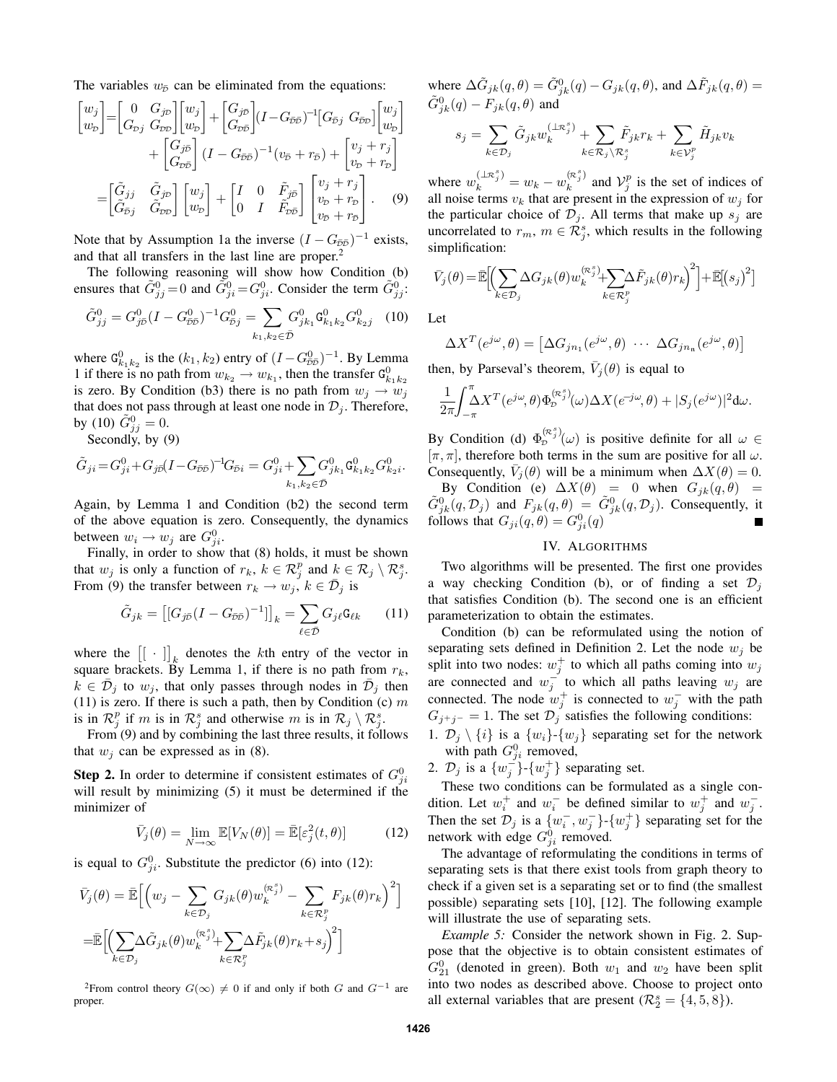The variables  $w_{\bar{D}}$  can be eliminated from the equations:

$$
\begin{bmatrix} w_j \\ w_p \end{bmatrix} = \begin{bmatrix} 0 & G_{j\mathcal{D}} \\ G_{\mathcal{D}j} & G_{\mathcal{D}\mathcal{D}} \end{bmatrix} \begin{bmatrix} w_j \\ w_p \end{bmatrix} + \begin{bmatrix} G_{j\overline{\mathcal{D}}} \\ G_{\mathcal{D}\overline{\mathcal{D}}} \end{bmatrix} (I - G_{\overline{\mathcal{D}}\overline{\mathcal{D}}})^{-1} \begin{bmatrix} G_{\overline{\mathcal{D}}j} & G_{\overline{\mathcal{D}}\mathcal{D}} \end{bmatrix} \begin{bmatrix} w_j \\ w_p \end{bmatrix} + \begin{bmatrix} G_{j\overline{\mathcal{D}}} \\ G_{\mathcal{D}\overline{\mathcal{D}}} \end{bmatrix} (I - G_{\overline{\mathcal{D}}\overline{\mathcal{D}}})^{-1} (v_{\overline{\mathcal{D}}} + r_{\overline{\mathcal{D}}}) + \begin{bmatrix} v_j + r_j \\ v_p + r_p \end{bmatrix} \\
= \begin{bmatrix} \tilde{G}_{jj} & \tilde{G}_{j\mathcal{D}} \\ \tilde{G}_{\overline{\mathcal{D}}j} & \tilde{G}_{\mathcal{D}\mathcal{D}} \end{bmatrix} \begin{bmatrix} w_j \\ w_p \end{bmatrix} + \begin{bmatrix} I & 0 & \tilde{F}_{j\overline{\mathcal{D}}} \\ 0 & I & \tilde{F}_{\mathcal{D}\overline{\mathcal{D}}} \end{bmatrix} \begin{bmatrix} v_j + r_j \\ v_p + r_p \\ v_{\overline{\mathcal{D}}} + r_{\overline{\mathcal{D}}} \end{bmatrix} . \tag{9}
$$

Note that by Assumption 1a the inverse  $(I - G_{\bar{\nu}\bar{\nu}})^{-1}$  exists, and that all transfers in the last line are proper.<sup>2</sup>

The following reasoning will show how Condition (b) ensures that  $\tilde{G}_{jj}^0 = 0$  and  $\tilde{G}_{ji}^0 = G_{ji}^0$ . Consider the term  $\tilde{G}_{jj}^0$ :

$$
\tilde{G}_{jj}^0 = G_{j\bar{p}}^0 (I - G_{\bar{p}\bar{p}}^0)^{-1} G_{\bar{p}j}^0 = \sum_{k_1, k_2 \in \bar{\mathcal{D}}} G_{jk_1}^0 \mathbf{G}_{k_1 k_2}^0 G_{k_2 j}^0 \quad (10)
$$

where  $G_{k_1k_2}^0$  is the  $(k_1, k_2)$  entry of  $(I - G_{\bar{\nu}\bar{\nu}}^0)^{-1}$ . By Lemma 1 if there is no path from  $w_{k_2} \to w_{k_1}$ , then the transfer  $G_{k_1k_2}^0$ is zero. By Condition (b3) there is no path from  $w_i \rightarrow w_i$ that does not pass through at least one node in  $\mathcal{D}_i$ . Therefore, by (10)  $\tilde{G}_{jj}^{0} = 0$ .

Secondly, by (9)

$$
\tilde{G}_{ji}\!=\!G^0_{ji}\!+\!G_{j\bar{p}}(I\!-\!G_{\!\bar{p}\bar{p}})^{\!-\!1}\!G_{\!\bar{p}i}=G^0_{ji}\!+\!\!\sum_{k_1,k_2\in\bar{\mathcal{D}}} \!\!G^0_{jk_1}\mathtt{G}^0_{k_1k_2}G^0_{k_2i}.
$$

Again, by Lemma 1 and Condition (b2) the second term of the above equation is zero. Consequently, the dynamics between  $w_i \rightarrow w_j$  are  $G_{ji}^0$ .

Finally, in order to show that (8) holds, it must be shown that  $w_j$  is only a function of  $r_k$ ,  $k \in \mathcal{R}_j^p$  and  $k \in \mathcal{R}_j \setminus \mathcal{R}_j^s$ . From (9) the transfer between  $r_k \rightarrow w_j, k \in \bar{\mathcal{D}}_j$  is

$$
\tilde{G}_{jk} = \left[ [G_{j\bar{D}}(I - G_{\bar{D}\bar{D}})^{-1}] \right]_k = \sum_{\ell \in \bar{\mathcal{D}}} G_{j\ell} \mathbf{G}_{\ell k} \qquad (11)
$$

where the  $\begin{bmatrix} [\cdot] \end{bmatrix}_k$  denotes the kth entry of the vector in square brackets. By Lemma 1, if there is no path from  $r_k$ ,  $k \in \bar{\mathcal{D}}_j$  to  $w_j$ , that only passes through nodes in  $\bar{\mathcal{D}}_j$  then (11) is zero. If there is such a path, then by Condition (c)  $m$ is in  $\mathcal{R}_j^p$  if m is in  $\mathcal{R}_j^s$  and otherwise m is in  $\mathcal{R}_j \setminus \mathcal{R}_j^s$ .

From (9) and by combining the last three results, it follows that  $w_i$  can be expressed as in (8).

**Step 2.** In order to determine if consistent estimates of  $G_{ji}^0$ will result by minimizing  $(5)$  it must be determined if the minimizer of

$$
\bar{V}_j(\theta) = \lim_{N \to \infty} \mathbb{E}[V_N(\theta)] = \bar{\mathbb{E}}[\varepsilon_j^2(t,\theta)] \tag{12}
$$

is equal to  $G_{ji}^0$ . Substitute the predictor (6) into (12):

$$
\bar{V}_j(\theta) = \bar{\mathbb{E}} \Big[ \Big( w_j - \sum_{k \in \mathcal{D}_j} G_{jk}(\theta) w_k^{(\kappa_j^s)} - \sum_{k \in \mathcal{R}_j^p} F_{jk}(\theta) r_k \Big)^2 \Big]
$$
  
\n
$$
= \bar{\mathbb{E}} \Big[ \Big( \sum_{k \in \mathcal{D}_j} \Delta \tilde{G}_{jk}(\theta) w_k^{(\kappa_j^s)} + \sum_{k \in \mathcal{R}_j^p} \Delta \tilde{F}_{jk}(\theta) r_k + s_j \Big)^2 \Big]
$$

<sup>2</sup>From control theory  $G(\infty) \neq 0$  if and only if both G and  $G^{-1}$  are proper.

where  $\Delta \tilde{G}_{jk}(q, \theta) = \tilde{G}_{jk}^0(q) - G_{jk}(q, \theta)$ , and  $\Delta \tilde{F}_{jk}(q, \theta) =$  $\tilde{G}_{jk}^{0}(q) - F_{jk}(q, \theta)$  and

$$
s_j = \sum_{k \in \mathcal{D}_j} \tilde{G}_{jk} w_k^{(\perp \mathcal{R}_j^s)} + \sum_{k \in \mathcal{R}_j \setminus \mathcal{R}_j^s} \tilde{F}_{jk} r_k + \sum_{k \in \mathcal{V}_j^p} \tilde{H}_{jk} v_k
$$

where  $w_k^{(\perp \mathcal{R}_j^s)} = w_k - w_k^{(\mathcal{R}_j^s)}$  $\binom{(\mathcal{R}^2)}{k}$  and  $\mathcal{V}^p_j$  is the set of indices of all noise terms  $v_k$  that are present in the expression of  $w_j$  for the particular choice of  $\mathcal{D}_j$ . All terms that make up  $s_j$  are uncorrelated to  $r_m$ ,  $m \in \mathcal{R}_j^s$ , which results in the following simplification:

$$
\bar{V}_j(\theta) = \mathbb{\bar{E}} \Biggl[ \Biggl( \sum_{k \in \mathcal{D}_j} \Delta G_{jk}(\theta) w_k^{(\kappa_j^s)} + \sum_{k \in \mathcal{R}_j^p} \Delta \tilde{F}_{jk}(\theta) r_k \Biggr)^2 \Biggr] + \mathbb{\bar{E}} \Biggl[ \Bigl( s_j \Bigr)^2 \Biggr]
$$

Let

$$
\Delta X^{T}(e^{j\omega}, \theta) = [\Delta G_{jn_1}(e^{j\omega}, \theta) \cdots \Delta G_{jn_n}(e^{j\omega}, \theta)]
$$

then, by Parseval's theorem,  $\bar{V}_j(\theta)$  is equal to

$$
\frac{1}{2\pi} \! \int_{-\pi}^{\pi} \! \Delta X^T (e^{j\omega}, \theta) \Phi_{\!D}^{(\mathcal{R}^s_j)}(\omega) \Delta X (e^{-j\omega}, \theta) + |S_j(e^{j\omega})|^2 d\omega.
$$

By Condition (d)  $\Phi_D^{(\mathcal{R}_j^s)}(\omega)$  is positive definite for all  $\omega \in$  $[\pi, \pi]$ , therefore both terms in the sum are positive for all  $\omega$ . Consequently,  $\bar{V}_j(\theta)$  will be a minimum when  $\Delta X(\theta) = 0$ .

By Condition (e)  $\Delta X(\theta) = 0$  when  $G_{jk}(q, \theta) = 0$  $\tilde{G}_{jk}^0(q, \mathcal{D}_j)$  and  $F_{jk}(q, \theta) = \tilde{G}_{jk}^0(q, \mathcal{D}_j)$ . Consequently, it follows that  $G_{ji}(q, \theta) = G_{ji}^0(q)$ 

# IV. ALGORITHMS

Two algorithms will be presented. The first one provides a way checking Condition (b), or of finding a set  $\mathcal{D}_i$ that satisfies Condition (b). The second one is an efficient parameterization to obtain the estimates.

Condition (b) can be reformulated using the notion of separating sets defined in Definition 2. Let the node  $w_i$  be split into two nodes:  $w_j^+$  to which all paths coming into  $w_j$ are connected and  $w_j^-$  to which all paths leaving  $w_j$  are connected. The node  $w_j^+$  is connected to  $w_j^-$  with the path  $G_{i^+i^-} = 1$ . The set  $\mathcal{D}_i$  satisfies the following conditions:

1.  $\mathcal{D}_j \setminus \{i\}$  is a  $\{w_i\}$ - $\{w_j\}$  separating set for the network with path  $G_{ji}^0$  removed,

2.  $\mathcal{D}_j$  is a  $\{w_j^{\dagger}\}\text{-}\{w_j^+\}$  separating set.

These two conditions can be formulated as a single condition. Let  $w_i^+$  and  $w_i^-$  be defined similar to  $w_j^+$  and  $w_j^-$ . Then the set  $\mathcal{D}_j$  is a  $\{w_i^-, w_j^-\}$ - $\{w_j^+\}$  separating set for the network with edge  $G_{ji}^0$  removed.

The advantage of reformulating the conditions in terms of separating sets is that there exist tools from graph theory to check if a given set is a separating set or to find (the smallest possible) separating sets [10], [12]. The following example will illustrate the use of separating sets.

*Example 5:* Consider the network shown in Fig. 2. Suppose that the objective is to obtain consistent estimates of  $G_{21}^0$  (denoted in green). Both  $w_1$  and  $w_2$  have been split into two nodes as described above. Choose to project onto all external variables that are present  $(R_2^s = \{4, 5, 8\})$ .